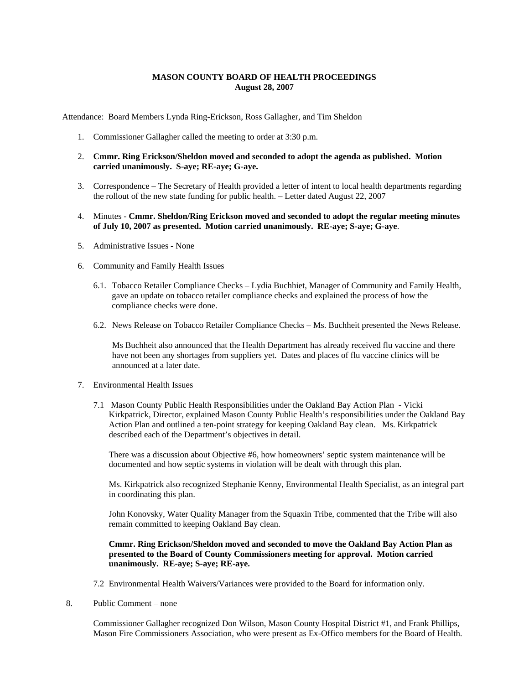## **MASON COUNTY BOARD OF HEALTH PROCEEDINGS August 28, 2007**

Attendance: Board Members Lynda Ring-Erickson, Ross Gallagher, and Tim Sheldon

- 1. Commissioner Gallagher called the meeting to order at 3:30 p.m.
- 2. **Cmmr. Ring Erickson/Sheldon moved and seconded to adopt the agenda as published. Motion carried unanimously. S-aye; RE-aye; G-aye.**
- 3. Correspondence The Secretary of Health provided a letter of intent to local health departments regarding the rollout of the new state funding for public health. – Letter dated August 22, 2007
- 4. Minutes **Cmmr. Sheldon/Ring Erickson moved and seconded to adopt the regular meeting minutes of July 10, 2007 as presented. Motion carried unanimously. RE-aye; S-aye; G-aye**.
- 5. Administrative Issues None
- 6. Community and Family Health Issues
	- 6.1. Tobacco Retailer Compliance Checks Lydia Buchhiet, Manager of Community and Family Health, gave an update on tobacco retailer compliance checks and explained the process of how the compliance checks were done.
	- 6.2. News Release on Tobacco Retailer Compliance Checks Ms. Buchheit presented the News Release.

Ms Buchheit also announced that the Health Department has already received flu vaccine and there have not been any shortages from suppliers yet. Dates and places of flu vaccine clinics will be announced at a later date.

- 7. Environmental Health Issues
	- 7.1 Mason County Public Health Responsibilities under the Oakland Bay Action Plan Vicki Kirkpatrick, Director, explained Mason County Public Health's responsibilities under the Oakland Bay Action Plan and outlined a ten-point strategy for keeping Oakland Bay clean. Ms. Kirkpatrick described each of the Department's objectives in detail.

There was a discussion about Objective #6, how homeowners' septic system maintenance will be documented and how septic systems in violation will be dealt with through this plan.

Ms. Kirkpatrick also recognized Stephanie Kenny, Environmental Health Specialist, as an integral part in coordinating this plan.

John Konovsky, Water Quality Manager from the Squaxin Tribe, commented that the Tribe will also remain committed to keeping Oakland Bay clean.

**Cmmr. Ring Erickson/Sheldon moved and seconded to move the Oakland Bay Action Plan as presented to the Board of County Commissioners meeting for approval. Motion carried unanimously. RE-aye; S-aye; RE-aye.**

- 7.2 Environmental Health Waivers/Variances were provided to the Board for information only.
- 8. Public Comment none

Commissioner Gallagher recognized Don Wilson, Mason County Hospital District #1, and Frank Phillips, Mason Fire Commissioners Association, who were present as Ex-Offico members for the Board of Health.